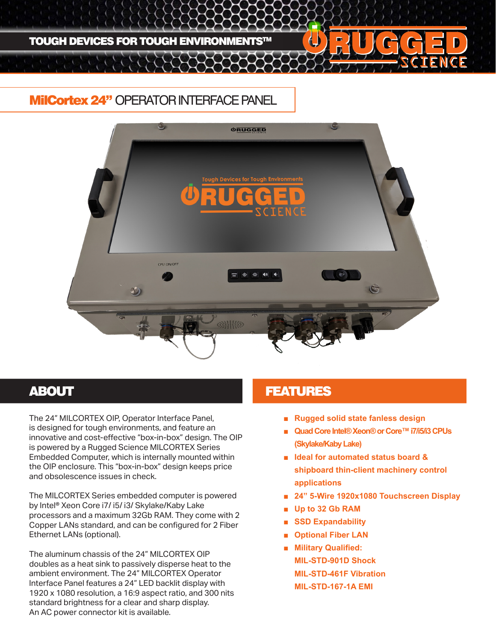

# MilCortex 24" OPERATOR INTERFACE PANEL



The 24" MILCORTEX OIP, Operator Interface Panel, is designed for tough environments, and feature an innovative and cost-effective "box-in-box" design. The OIP is powered by a Rugged Science MILCORTEX Series Embedded Computer, which is internally mounted within the OIP enclosure. This "box-in-box" design keeps price and obsolescence issues in check.

The MILCORTEX Series embedded computer is powered by Intel® Xeon Core i7/ i5/ i3/ Skylake/Kaby Lake processors and a maximum 32Gb RAM. They come with 2 Copper LANs standard, and can be configured for 2 Fiber Ethernet LANs (optional).

The aluminum chassis of the 24" MILCORTEX OIP doubles as a heat sink to passively disperse heat to the ambient environment. The 24" MILCORTEX Operator Interface Panel features a 24" LED backlit display with 1920 x 1080 resolution, a 16:9 aspect ratio, and 300 nits standard brightness for a clear and sharp display. An AC power connector kit is available.

## **ABOUT AREA EXECUTED ABOUT ABOUT ABOUT A LIMIT AND LIMIT ASSAULT**

- **Rugged solid state fanless design**
- **Quad Core Intel® Xeon® or Core™ i7/i5/i3 CPUs (Skylake/Kaby Lake)**
- **Ideal for automated status board & shipboard thin-client machinery control applications**
- **24" 5-Wire 1920x1080 Touchscreen Display**
- **Up to 32 Gb RAM**
- **SSD Expandability**
- **Optional Fiber LAN**
- **Military Qualified: MIL-STD-901D Shock MIL-STD-461F Vibration MIL-STD-167-1A EMI**